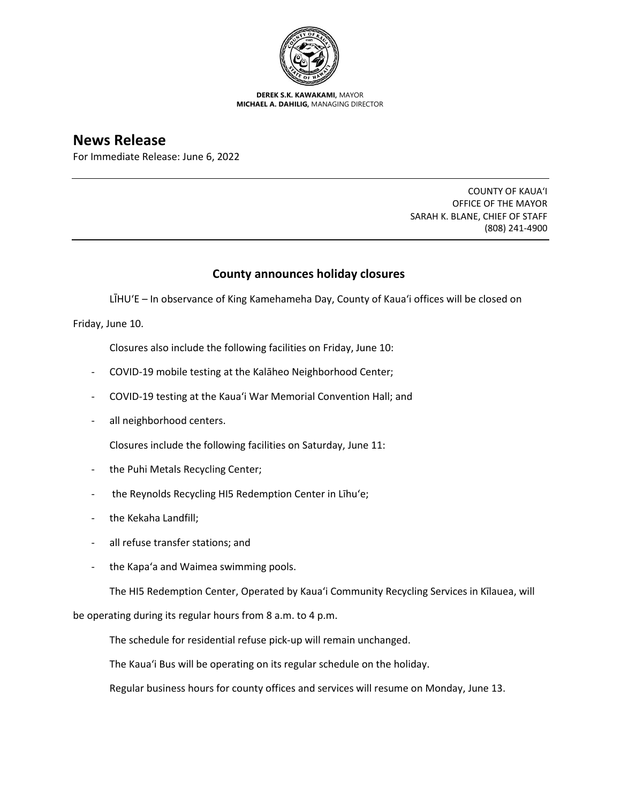

**DEREK S.K. KAWAKAMI,** MAYOR **MICHAEL A. DAHILIG,** MANAGING DIRECTOR

## **News Release**

For Immediate Release: June 6, 2022

COUNTY OF KAUA'I OFFICE OF THE MAYOR SARAH K. BLANE, CHIEF OF STAFF (808) 241-4900

## **County announces holiday closures**

LĪHU'E – In observance of King Kamehameha Day, County of Kaua'i offices will be closed on

Friday, June 10.

Closures also include the following facilities on Friday, June 10:

- COVID-19 mobile testing at the Kalāheo Neighborhood Center;
- COVID-19 testing at the Kaua'i War Memorial Convention Hall; and
- all neighborhood centers.

Closures include the following facilities on Saturday, June 11:

- the Puhi Metals Recycling Center;
- the Reynolds Recycling HI5 Redemption Center in Līhu'e;
- the Kekaha Landfill;
- all refuse transfer stations; and
- the Kapa'a and Waimea swimming pools.

The HI5 Redemption Center, Operated by Kaua'i Community Recycling Services in Kīlauea, will

be operating during its regular hours from 8 a.m. to 4 p.m.

The schedule for residential refuse pick-up will remain unchanged.

The Kaua'i Bus will be operating on its regular schedule on the holiday.

Regular business hours for county offices and services will resume on Monday, June 13.